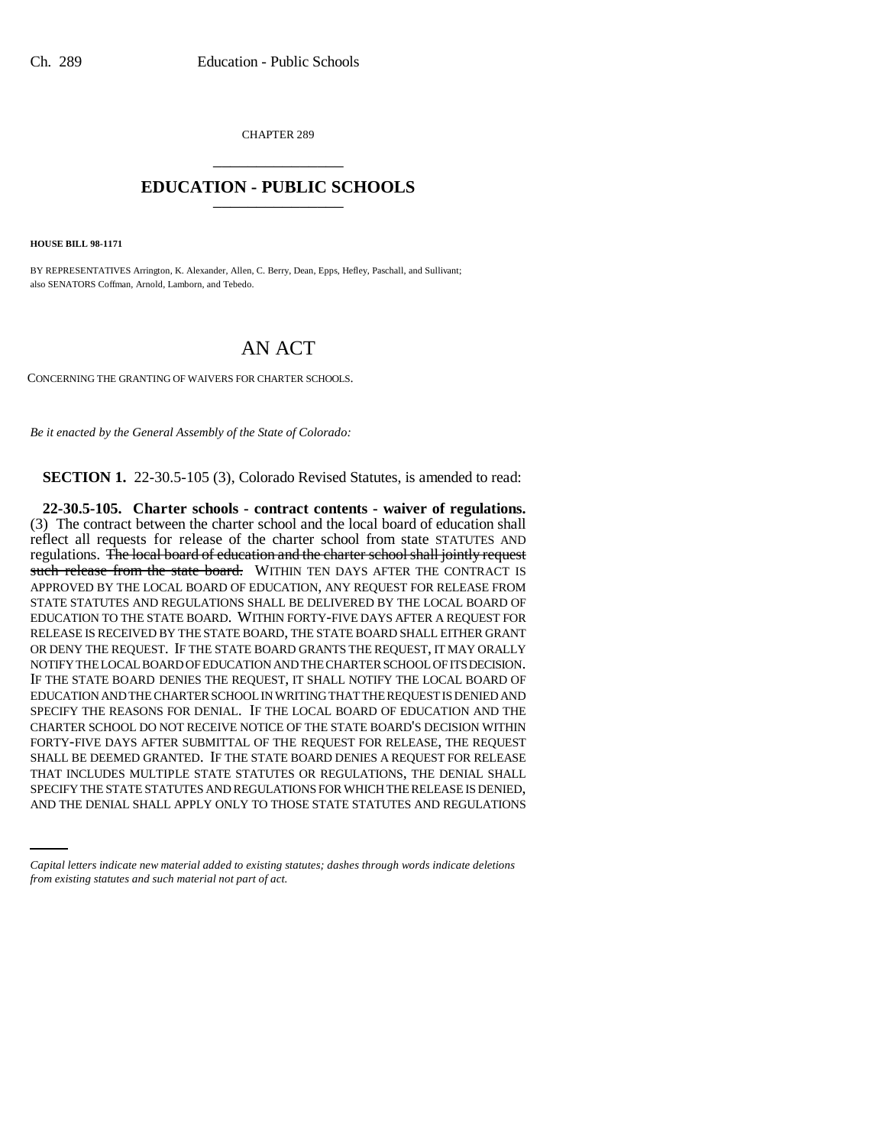CHAPTER 289 \_\_\_\_\_\_\_\_\_\_\_\_\_\_\_

## **EDUCATION - PUBLIC SCHOOLS** \_\_\_\_\_\_\_\_\_\_\_\_\_\_\_

**HOUSE BILL 98-1171**

BY REPRESENTATIVES Arrington, K. Alexander, Allen, C. Berry, Dean, Epps, Hefley, Paschall, and Sullivant; also SENATORS Coffman, Arnold, Lamborn, and Tebedo.

## AN ACT

CONCERNING THE GRANTING OF WAIVERS FOR CHARTER SCHOOLS.

*Be it enacted by the General Assembly of the State of Colorado:*

**SECTION 1.** 22-30.5-105 (3), Colorado Revised Statutes, is amended to read:

THAT INCLUDES MULTIPLE STATE STATUTES OR REGULATIONS, THE DENIAL SHALL **22-30.5-105. Charter schools - contract contents - waiver of regulations.** (3) The contract between the charter school and the local board of education shall reflect all requests for release of the charter school from state STATUTES AND regulations. The local board of education and the charter school shall jointly request such release from the state board. WITHIN TEN DAYS AFTER THE CONTRACT IS APPROVED BY THE LOCAL BOARD OF EDUCATION, ANY REQUEST FOR RELEASE FROM STATE STATUTES AND REGULATIONS SHALL BE DELIVERED BY THE LOCAL BOARD OF EDUCATION TO THE STATE BOARD. WITHIN FORTY-FIVE DAYS AFTER A REQUEST FOR RELEASE IS RECEIVED BY THE STATE BOARD, THE STATE BOARD SHALL EITHER GRANT OR DENY THE REQUEST. IF THE STATE BOARD GRANTS THE REQUEST, IT MAY ORALLY NOTIFY THE LOCAL BOARD OF EDUCATION AND THE CHARTER SCHOOL OF ITS DECISION. IF THE STATE BOARD DENIES THE REQUEST, IT SHALL NOTIFY THE LOCAL BOARD OF EDUCATION AND THE CHARTER SCHOOL IN WRITING THAT THE REQUEST IS DENIED AND SPECIFY THE REASONS FOR DENIAL. IF THE LOCAL BOARD OF EDUCATION AND THE CHARTER SCHOOL DO NOT RECEIVE NOTICE OF THE STATE BOARD'S DECISION WITHIN FORTY-FIVE DAYS AFTER SUBMITTAL OF THE REQUEST FOR RELEASE, THE REQUEST SHALL BE DEEMED GRANTED. IF THE STATE BOARD DENIES A REQUEST FOR RELEASE SPECIFY THE STATE STATUTES AND REGULATIONS FOR WHICH THE RELEASE IS DENIED, AND THE DENIAL SHALL APPLY ONLY TO THOSE STATE STATUTES AND REGULATIONS

*Capital letters indicate new material added to existing statutes; dashes through words indicate deletions from existing statutes and such material not part of act.*